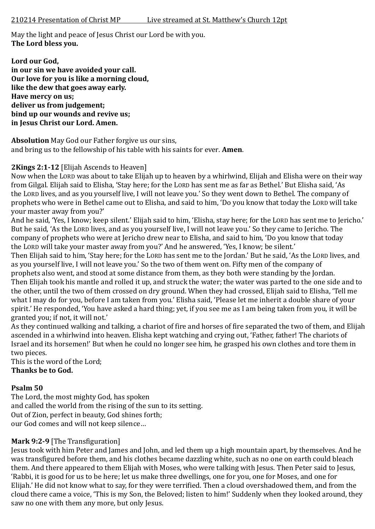May the light and peace of Jesus Christ our Lord be with you. **The Lord bless you.**

**Lord our God, in our sin we have avoided your call. Our love for you is like a morning cloud, like the dew that goes away early. Have mercy on us; deliver us from judgement; bind up our wounds and revive us; in Jesus Christ our Lord. Amen.**

**Absolution** May God our Father forgive us our sins, and bring us to the fellowship of his table with his saints for ever. **Amen**.

# **2Kings 2:1-12** [Elijah Ascends to Heaven]

Now when the LORD was about to take Elijah up to heaven by a whirlwind, Elijah and Elisha were on their way from Gilgal. Elijah said to Elisha, 'Stay here; for the LORD has sent me as far as Bethel.' But Elisha said, 'As the LORD lives, and as you yourself live, I will not leave you.' So they went down to Bethel. The company of prophets who were in Bethel came out to Elisha, and said to him, 'Do you know that today the LORD will take your master away from you?'

And he said, 'Yes, I know; keep silent.' Elijah said to him, 'Elisha, stay here; for the LORD has sent me to Jericho.' But he said, 'As the LORD lives, and as you yourself live, I will not leave you.' So they came to Jericho. The company of prophets who were at Jericho drew near to Elisha, and said to him, 'Do you know that today the LORD will take your master away from you?' And he answered, 'Yes, I know; be silent.'

Then Elijah said to him, 'Stay here; for the LORD has sent me to the Jordan.' But he said, 'As the LORD lives, and as you yourself live, I will not leave you.' So the two of them went on. Fifty men of the company of

prophets also went, and stood at some distance from them, as they both were standing by the Jordan. Then Elijah took his mantle and rolled it up, and struck the water; the water was parted to the one side and to the other, until the two of them crossed on dry ground. When they had crossed, Elijah said to Elisha, 'Tell me what I may do for you, before I am taken from you.' Elisha said, 'Please let me inherit a double share of your spirit.' He responded, 'You have asked a hard thing; yet, if you see me as I am being taken from you, it will be granted you; if not, it will not.'

As they continued walking and talking, a chariot of fire and horses of fire separated the two of them, and Elijah ascended in a whirlwind into heaven. Elisha kept watching and crying out, 'Father, father! The chariots of Israel and its horsemen!' But when he could no longer see him, he grasped his own clothes and tore them in two pieces.

This is the word of the Lord; **Thanks be to God.**

# **Psalm 50**

The Lord, the most mighty God, has spoken and called the world from the rising of the sun to its setting. Out of Zion, perfect in beauty, God shines forth; our God comes and will not keep silence…

# **Mark 9:2-9** [The Transfiguration]

Jesus took with him Peter and James and John, and led them up a high mountain apart, by themselves. And he was transfigured before them, and his clothes became dazzling white, such as no one on earth could bleach them. And there appeared to them Elijah with Moses, who were talking with Jesus. Then Peter said to Jesus, 'Rabbi, it is good for us to be here; let us make three dwellings, one for you, one for Moses, and one for Elijah.' He did not know what to say, for they were terrified. Then a cloud overshadowed them, and from the cloud there came a voice, 'This is my Son, the Beloved; listen to him!' Suddenly when they looked around, they saw no one with them any more, but only Jesus.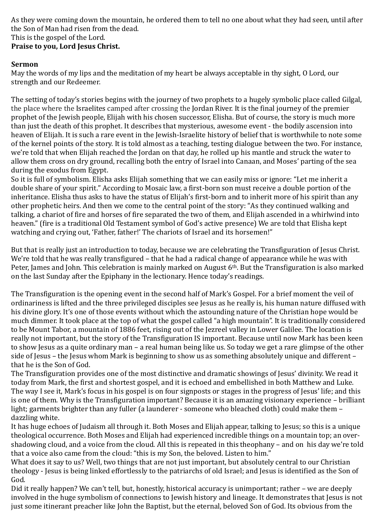As they were coming down the mountain, he ordered them to tell no one about what they had seen, until after the Son of Man had risen from the dead. This is the gospel of the Lord. **Praise to you, Lord Jesus Christ.**

### **Sermon**

May the words of my lips and the meditation of my heart be always acceptable in thy sight, O Lord, our strength and our Redeemer.

The setting of today's stories begins with the journey of two prophets to a hugely symbolic place called Gilgal, the place where the [Israelites](https://en.wikipedia.org/wiki/Israelites) camped after crossing the [Jordan River.](https://en.wikipedia.org/wiki/Jordan_River) It is the final journey of the premier prophet of the Jewish people, Elijah with his chosen successor, Elisha. But of course, the story is much more than just the death of this prophet. It describes that mysterious, awesome event - the bodily ascension into heaven of Elijah. It is such a rare event in the Jewish-Israelite history of belief that is worthwhile to note some of the kernel points of the story. It is told almost as a teaching, testing dialogue between the two. For instance, we're told that when Elijah reached the Jordan on that day, he rolled up his mantle and struck the water to allow them cross on dry ground, recalling both the entry of Israel into Canaan, and Moses' parting of the sea during the exodus from Egypt.

So it is full of symbolism. Elisha asks Elijah something that we can easily miss or ignore: "Let me inherit a double share of your spirit." According to Mosaic law, a first-born son must receive a double portion of the inheritance. Elisha thus asks to have the status of Elijah's first-born and to inherit more of his spirit than any other prophetic heirs. And then we come to the central point of the story: "As they continued walking and talking, a chariot of fire and horses of fire separated the two of them, and Elijah ascended in a whirlwind into heaven." (fire is a traditional Old Testament symbol of God's active presence) We are told that Elisha kept watching and crying out, 'Father, father!' The chariots of Israel and its horsemen!"

But that is really just an introduction to today, because we are celebrating the Transfiguration of Jesus Christ. We're told that he was really transfigured – that he had a radical change of appearance while he was with Peter, James and John. This celebration is mainly marked on August 6<sup>th</sup>. But the Transfiguration is also marked on the last Sunday after the Epiphany in the lectionary. Hence today's readings.

The Transfiguration is the opening event in the second half of Mark's Gospel. For a brief moment the veil of ordinariness is lifted and the three privileged disciples see Jesus as he really is, his human nature diffused with his divine glory. It's one of those events without which the astounding nature of the Christian hope would be much dimmer. It took place at the top of what the gospel called "a high mountain". It is traditionally considered to be Mount Tabor, a mountain of 1886 feet, rising out of the Jezreel valley in Lower Galilee. The location is really not important, but the story of the Transfiguration IS important. Because until now Mark has been keen to show Jesus as a quite ordinary man – a real human being like us. So today we get a rare glimpse of the other side of Jesus – the Jesus whom Mark is beginning to show us as something absolutely unique and different – that he is the Son of God.

The Transfiguration provides one of the most distinctive and dramatic showings of Jesus' divinity. We read it today from Mark, the first and shortest gospel, and it is echoed and embellished in both Matthew and Luke. The way I see it, Mark's focus in his gospel is on four signposts or stages in the progress of Jesus' life; and this is one of them. Why is the Transfiguration important? Because it is an amazing visionary experience – brilliant light; garments brighter than any fuller (a launderer - someone who bleached cloth) could make them – dazzling white.

It has huge echoes of Judaism all through it. Both Moses and Elijah appear, talking to Jesus; so this is a unique theological occurrence. Both Moses and Elijah had experienced incredible things on a mountain top; an overshadowing cloud, and a voice from the cloud. All this is repeated in this theophany – and on his day we're told that a voice also came from the cloud: "this is my Son, the beloved. Listen to him."

What does it say to us? Well, two things that are not just important, but absolutely central to our Christian theology - Jesus is being linked effortlessly to the patriarchs of old Israel; and Jesus is identified as the Son of God.

Did it really happen? We can't tell, but, honestly, historical accuracy is unimportant; rather – we are deeply involved in the huge symbolism of connections to Jewish history and lineage. It demonstrates that Jesus is not just some itinerant preacher like John the Baptist, but the eternal, beloved Son of God. Its obvious from the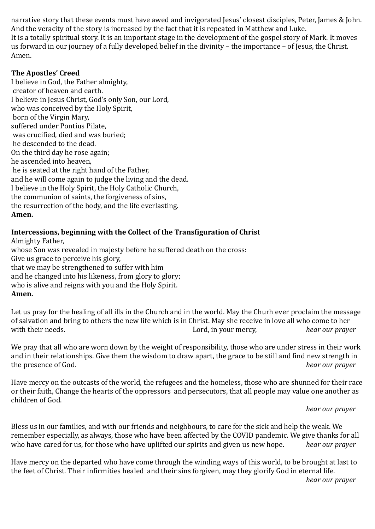narrative story that these events must have awed and invigorated Jesus' closest disciples, Peter, James & John. And the veracity of the story is increased by the fact that it is repeated in Matthew and Luke. It is a totally spiritual story. It is an important stage in the development of the gospel story of Mark. It moves us forward in our journey of a fully developed belief in the divinity – the importance – of Jesus, the Christ. Amen.

## **The Apostles' Creed**

I believe in God, the Father almighty, creator of heaven and earth. I believe in Jesus Christ, God's only Son, our Lord, who was conceived by the Holy Spirit, born of the Virgin Mary, suffered under Pontius Pilate, was crucified, died and was buried; he descended to the dead. On the third day he rose again; he ascended into heaven, he is seated at the right hand of the Father, and he will come again to judge the living and the dead. I believe in the Holy Spirit, the Holy Catholic Church, the communion of saints, the forgiveness of sins, the resurrection of the body, and the life everlasting. **Amen.** 

# **Intercessions, beginning with the Collect of the Transfiguration of Christ**

Almighty Father, whose Son was revealed in majesty before he suffered death on the cross: Give us grace to perceive his glory, that we may be strengthened to suffer with him and he changed into his likeness, from glory to glory; who is alive and reigns with you and the Holy Spirit. **Amen.**

Let us pray for the healing of all ills in the Church and in the world. May the Churh ever proclaim the message of salvation and bring to others the new life which is in Christ. May she receive in love all who come to her with their needs. *hear our prayer hear our prayer hear our prayer* 

We pray that all who are worn down by the weight of responsibility, those who are under stress in their work and in their relationships. Give them the wisdom to draw apart, the grace to be still and find new strength in the presence of God. *hear our prayer*

Have mercy on the outcasts of the world, the refugees and the homeless, those who are shunned for their race or their faith, Change the hearts of the oppressors and persecutors, that all people may value one another as children of God.

*hear our prayer*

Bless us in our families, and with our friends and neighbours, to care for the sick and help the weak. We remember especially, as always, those who have been affected by the COVID pandemic. We give thanks for all who have cared for us, for those who have uplifted our spirits and given us new hope. *hear our prayer*

Have mercy on the departed who have come through the winding ways of this world, to be brought at last to the feet of Christ. Their infirmities healed and their sins forgiven, may they glorify God in eternal life.

*hear our prayer*